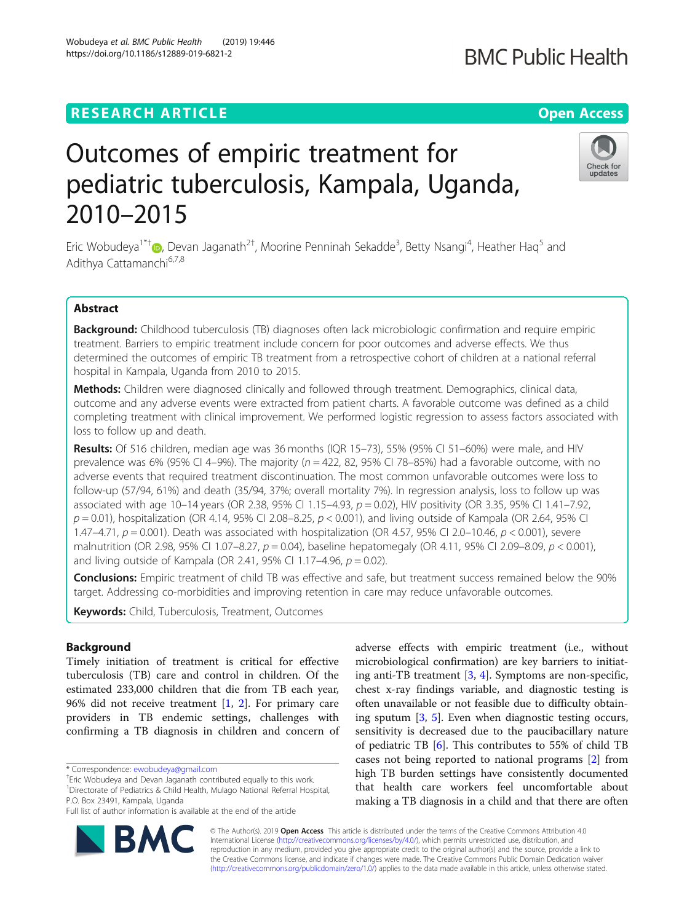## **RESEARCH ARTICLE Example 2018 12:30 THE Open Access**

https://doi.org/10.1186/s12889-019-6821-2

Wobudeya et al. BMC Public Health (2019) 19:446

# Outcomes of empiric treatment for pediatric tuberculosis, Kampala, Uganda, 2010–2015

Eric Wobudeya<sup>1\*†</sup>®[,](http://orcid.org/0000-0001-9574-5539) Devan Jaganath<sup>2†</sup>, Moorine Penninah Sekadde<sup>3</sup>, Betty Nsangi<sup>4</sup>, Heather Haq<sup>5</sup> and Adithya Cattamanchi<sup>6,7,8</sup>

## Abstract

Background: Childhood tuberculosis (TB) diagnoses often lack microbiologic confirmation and require empiric treatment. Barriers to empiric treatment include concern for poor outcomes and adverse effects. We thus determined the outcomes of empiric TB treatment from a retrospective cohort of children at a national referral hospital in Kampala, Uganda from 2010 to 2015.

Methods: Children were diagnosed clinically and followed through treatment. Demographics, clinical data, outcome and any adverse events were extracted from patient charts. A favorable outcome was defined as a child completing treatment with clinical improvement. We performed logistic regression to assess factors associated with loss to follow up and death.

Results: Of 516 children, median age was 36 months (IQR 15-73), 55% (95% CI 51-60%) were male, and HIV prevalence was 6% (95% CI 4–9%). The majority ( $n = 422$ , 82, 95% CI 78–85%) had a favorable outcome, with no adverse events that required treatment discontinuation. The most common unfavorable outcomes were loss to follow-up (57/94, 61%) and death (35/94, 37%; overall mortality 7%). In regression analysis, loss to follow up was associated with age 10–14 years (OR 2.38, 95% CI 1.15–4.93, p = 0.02), HIV positivity (OR 3.35, 95% CI 1.41–7.92,  $p = 0.01$ ), hospitalization (OR 4.14, 95% CI 2.08–8.25,  $p < 0.001$ ), and living outside of Kampala (OR 2.64, 95% CI 1.47–4.71,  $p = 0.001$ ). Death was associated with hospitalization (OR 4.57, 95% CI 2.0–10.46,  $p < 0.001$ ), severe malnutrition (OR 2.98, 95% CI 1.07–8.27,  $p = 0.04$ ), baseline hepatomegaly (OR 4.11, 95% CI 2.09–8.09,  $p < 0.001$ ), and living outside of Kampala (OR 2.41, 95% CI 1.17–4.96,  $p = 0.02$ ).

Conclusions: Empiric treatment of child TB was effective and safe, but treatment success remained below the 90% target. Addressing co-morbidities and improving retention in care may reduce unfavorable outcomes.

Keywords: Child, Tuberculosis, Treatment, Outcomes

## Background

Timely initiation of treatment is critical for effective tuberculosis (TB) care and control in children. Of the estimated 233,000 children that die from TB each year, 96% did not receive treatment [\[1](#page-4-0), [2](#page-4-0)]. For primary care providers in TB endemic settings, challenges with confirming a TB diagnosis in children and concern of

\* Correspondence: [ewobudeya@gmail.com](mailto:ewobudeya@gmail.com) †

<sup>+</sup>Eric Wobudeya and Devan Jaganath contributed equally to this work. <sup>1</sup>Directorate of Pediatrics & Child Health, Mulago National Referral Hospital, P.O. Box 23491, Kampala, Uganda

Full list of author information is available at the end of the article

of pediatric TB [\[6\]](#page-5-0). This contributes to 55% of child TB cases not being reported to national programs [[2\]](#page-4-0) from high TB burden settings have consistently documented that health care workers feel uncomfortable about making a TB diagnosis in a child and that there are often © The Author(s). 2019 Open Access This article is distributed under the terms of the Creative Commons Attribution 4.0

International License [\(http://creativecommons.org/licenses/by/4.0/](http://creativecommons.org/licenses/by/4.0/)), which permits unrestricted use, distribution, and reproduction in any medium, provided you give appropriate credit to the original author(s) and the source, provide a link to the Creative Commons license, and indicate if changes were made. The Creative Commons Public Domain Dedication waiver [\(http://creativecommons.org/publicdomain/zero/1.0/](http://creativecommons.org/publicdomain/zero/1.0/)) applies to the data made available in this article, unless otherwise stated.

microbiological confirmation) are key barriers to initiating anti-TB treatment [\[3](#page-4-0), [4](#page-5-0)]. Symptoms are non-specific, chest x-ray findings variable, and diagnostic testing is often unavailable or not feasible due to difficulty obtaining sputum [\[3](#page-4-0), [5\]](#page-5-0). Even when diagnostic testing occurs, sensitivity is decreased due to the paucibacillary nature

adverse effects with empiric treatment (i.e., without





## **BMC Public Health**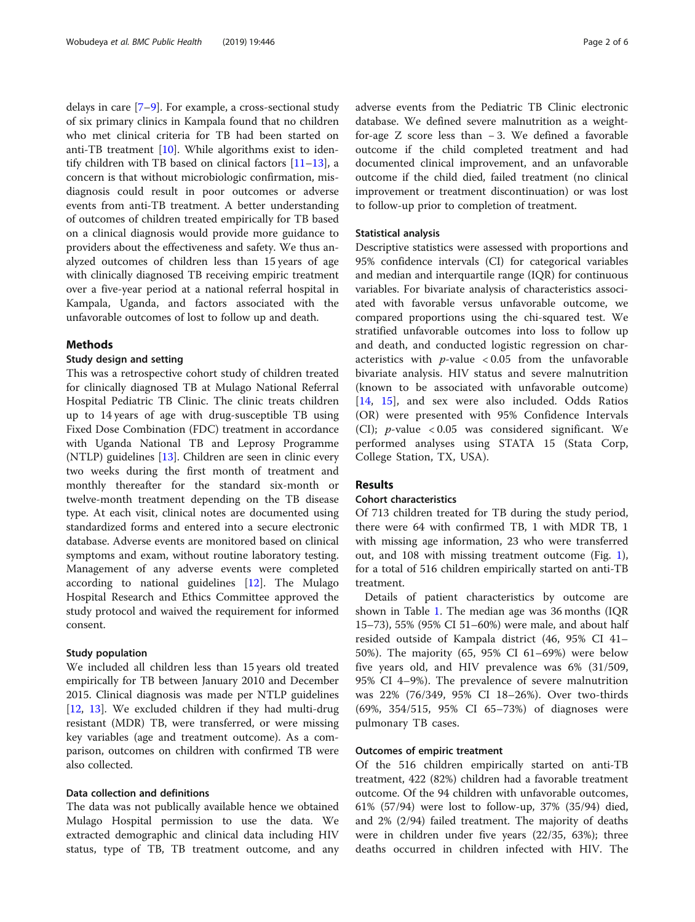delays in care [\[7](#page-5-0)–[9\]](#page-5-0). For example, a cross-sectional study of six primary clinics in Kampala found that no children who met clinical criteria for TB had been started on anti-TB treatment [[10\]](#page-5-0). While algorithms exist to identify children with TB based on clinical factors [[11](#page-5-0)–[13\]](#page-5-0), a concern is that without microbiologic confirmation, misdiagnosis could result in poor outcomes or adverse events from anti-TB treatment. A better understanding of outcomes of children treated empirically for TB based on a clinical diagnosis would provide more guidance to providers about the effectiveness and safety. We thus analyzed outcomes of children less than 15 years of age with clinically diagnosed TB receiving empiric treatment over a five-year period at a national referral hospital in Kampala, Uganda, and factors associated with the unfavorable outcomes of lost to follow up and death.

## Methods

## Study design and setting

This was a retrospective cohort study of children treated for clinically diagnosed TB at Mulago National Referral Hospital Pediatric TB Clinic. The clinic treats children up to 14 years of age with drug-susceptible TB using Fixed Dose Combination (FDC) treatment in accordance with Uganda National TB and Leprosy Programme (NTLP) guidelines [[13\]](#page-5-0). Children are seen in clinic every two weeks during the first month of treatment and monthly thereafter for the standard six-month or twelve-month treatment depending on the TB disease type. At each visit, clinical notes are documented using standardized forms and entered into a secure electronic database. Adverse events are monitored based on clinical symptoms and exam, without routine laboratory testing. Management of any adverse events were completed according to national guidelines [[12\]](#page-5-0). The Mulago Hospital Research and Ethics Committee approved the study protocol and waived the requirement for informed consent.

#### Study population

We included all children less than 15 years old treated empirically for TB between January 2010 and December 2015. Clinical diagnosis was made per NTLP guidelines [[12,](#page-5-0) [13](#page-5-0)]. We excluded children if they had multi-drug resistant (MDR) TB, were transferred, or were missing key variables (age and treatment outcome). As a comparison, outcomes on children with confirmed TB were also collected.

## Data collection and definitions

The data was not publically available hence we obtained Mulago Hospital permission to use the data. We extracted demographic and clinical data including HIV status, type of TB, TB treatment outcome, and any

adverse events from the Pediatric TB Clinic electronic database. We defined severe malnutrition as a weightfor-age Z score less than − 3. We defined a favorable outcome if the child completed treatment and had documented clinical improvement, and an unfavorable outcome if the child died, failed treatment (no clinical improvement or treatment discontinuation) or was lost to follow-up prior to completion of treatment.

## Statistical analysis

Descriptive statistics were assessed with proportions and 95% confidence intervals (CI) for categorical variables and median and interquartile range (IQR) for continuous variables. For bivariate analysis of characteristics associated with favorable versus unfavorable outcome, we compared proportions using the chi-squared test. We stratified unfavorable outcomes into loss to follow up and death, and conducted logistic regression on characteristics with *p*-value  $< 0.05$  from the unfavorable bivariate analysis. HIV status and severe malnutrition (known to be associated with unfavorable outcome) [[14,](#page-5-0) [15\]](#page-5-0), and sex were also included. Odds Ratios (OR) were presented with 95% Confidence Intervals (CI); *p*-value  $< 0.05$  was considered significant. We performed analyses using STATA 15 (Stata Corp, College Station, TX, USA).

## Results

#### Cohort characteristics

Of 713 children treated for TB during the study period, there were 64 with confirmed TB, 1 with MDR TB, 1 with missing age information, 23 who were transferred out, and 108 with missing treatment outcome (Fig. [1](#page-2-0)), for a total of 516 children empirically started on anti-TB treatment.

Details of patient characteristics by outcome are shown in Table [1](#page-2-0). The median age was 36 months (IQR 15–73), 55% (95% CI 51–60%) were male, and about half resided outside of Kampala district (46, 95% CI 41– 50%). The majority (65, 95% CI 61–69%) were below five years old, and HIV prevalence was 6% (31/509, 95% CI 4–9%). The prevalence of severe malnutrition was 22% (76/349, 95% CI 18–26%). Over two-thirds (69%, 354/515, 95% CI 65–73%) of diagnoses were pulmonary TB cases.

#### Outcomes of empiric treatment

Of the 516 children empirically started on anti-TB treatment, 422 (82%) children had a favorable treatment outcome. Of the 94 children with unfavorable outcomes, 61% (57/94) were lost to follow-up, 37% (35/94) died, and 2% (2/94) failed treatment. The majority of deaths were in children under five years (22/35, 63%); three deaths occurred in children infected with HIV. The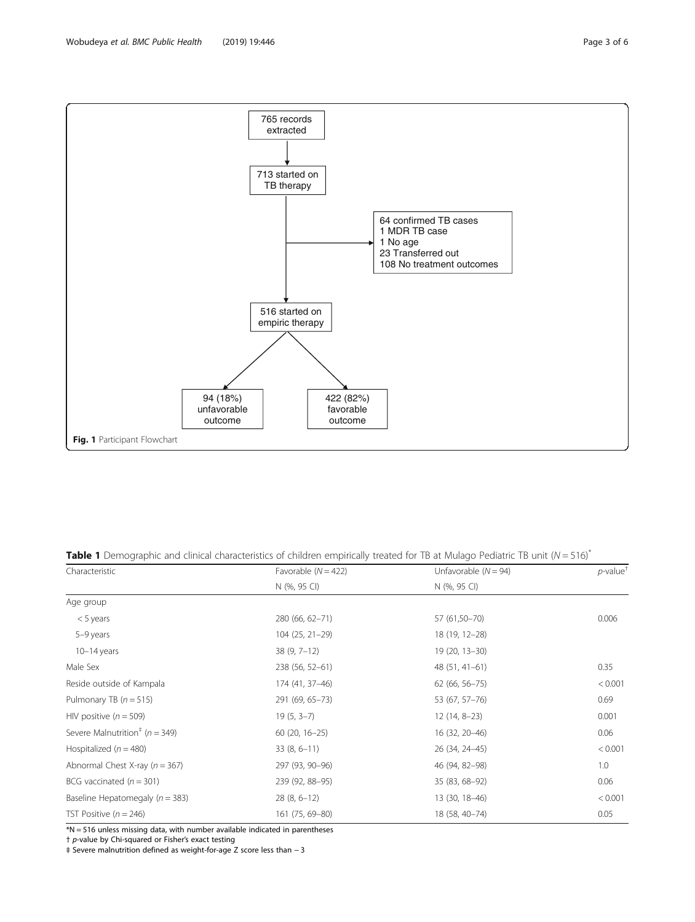<span id="page-2-0"></span>

**Table 1** Demographic and clinical characteristics of children empirically treated for TB at Mulago Pediatric TB unit ( $N = 516$ )\*

| Characteristic                                 | Favorable $(N = 422)$<br>N (%, 95 CI) | Unfavorable $(N = 94)$<br>N (%, 95 CI) | $p$ -value <sup>+</sup> |
|------------------------------------------------|---------------------------------------|----------------------------------------|-------------------------|
|                                                |                                       |                                        |                         |
| $<$ 5 years                                    | 280 (66, 62-71)                       | 57 (61,50-70)                          | 0.006                   |
| 5-9 years                                      | 104 (25, 21-29)                       | 18 (19, 12-28)                         |                         |
| $10-14$ years                                  | $38(9, 7-12)$                         | 19 (20, 13-30)                         |                         |
| Male Sex                                       | 238 (56, 52-61)                       | 48 (51, 41-61)                         | 0.35                    |
| Reside outside of Kampala                      | 174 (41, 37-46)                       | $62(66, 56-75)$                        | < 0.001                 |
| Pulmonary TB $(n = 515)$                       | 291 (69, 65-73)                       | 53 (67, 57-76)                         | 0.69                    |
| HIV positive $(n = 509)$                       | $19(5, 3-7)$                          | $12(14, 8-23)$                         | 0.001                   |
| Severe Malnutrition <sup>‡</sup> ( $n = 349$ ) | 60 (20, 16-25)                        | 16 (32, 20-46)                         | 0.06                    |
| Hospitalized ( $n = 480$ )                     | $33(8, 6-11)$                         | 26 (34, 24-45)                         | < 0.001                 |
| Abnormal Chest X-ray ( $n = 367$ )             | 297 (93, 90-96)                       | 46 (94, 82-98)                         | 1.0                     |
| BCG vaccinated $(n = 301)$                     | 239 (92, 88-95)                       | 35 (83, 68-92)                         | 0.06                    |
| Baseline Hepatomegaly ( $n = 383$ )            | $28(8, 6-12)$                         | 13 (30, 18-46)                         | < 0.001                 |
| TST Positive $(n = 246)$                       | 161 (75, 69-80)                       | 18 (58, 40-74)                         | 0.05                    |

\*N = 516 unless missing data, with number available indicated in parentheses

† p-value by Chi-squared or Fisher's exact testing

‡ Severe malnutrition defined as weight-for-age Z score less than − 3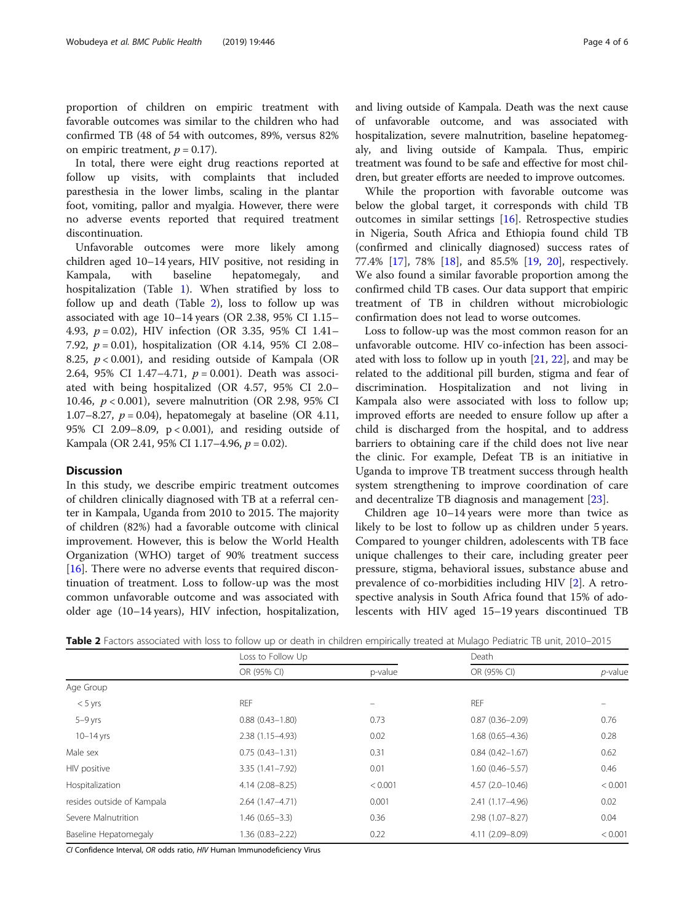proportion of children on empiric treatment with favorable outcomes was similar to the children who had confirmed TB (48 of 54 with outcomes, 89%, versus 82% on empiric treatment,  $p = 0.17$ ).

In total, there were eight drug reactions reported at follow up visits, with complaints that included paresthesia in the lower limbs, scaling in the plantar foot, vomiting, pallor and myalgia. However, there were no adverse events reported that required treatment discontinuation.

Unfavorable outcomes were more likely among children aged 10–14 years, HIV positive, not residing in Kampala, with baseline hepatomegaly, and hospitalization (Table [1](#page-2-0)). When stratified by loss to follow up and death (Table 2), loss to follow up was associated with age 10–14 years (OR 2.38, 95% CI 1.15– 4.93, p = 0.02), HIV infection (OR 3.35, 95% CI 1.41– 7.92,  $p = 0.01$ ), hospitalization (OR 4.14, 95% CI 2.08– 8.25,  $p < 0.001$ ), and residing outside of Kampala (OR 2.64, 95% CI 1.47-4.71,  $p = 0.001$ ). Death was associated with being hospitalized (OR 4.57, 95% CI 2.0– 10.46, p < 0.001), severe malnutrition (OR 2.98, 95% CI 1.07–8.27,  $p = 0.04$ ), hepatomegaly at baseline (OR 4.11, 95% CI 2.09–8.09, p < 0.001), and residing outside of Kampala (OR 2.41, 95% CI 1.17–4.96, p = 0.02).

## **Discussion**

In this study, we describe empiric treatment outcomes of children clinically diagnosed with TB at a referral center in Kampala, Uganda from 2010 to 2015. The majority of children (82%) had a favorable outcome with clinical improvement. However, this is below the World Health Organization (WHO) target of 90% treatment success [[16\]](#page-5-0). There were no adverse events that required discontinuation of treatment. Loss to follow-up was the most common unfavorable outcome and was associated with older age (10–14 years), HIV infection, hospitalization, and living outside of Kampala. Death was the next cause of unfavorable outcome, and was associated with hospitalization, severe malnutrition, baseline hepatomegaly, and living outside of Kampala. Thus, empiric treatment was found to be safe and effective for most children, but greater efforts are needed to improve outcomes.

While the proportion with favorable outcome was below the global target, it corresponds with child TB outcomes in similar settings [[16](#page-5-0)]. Retrospective studies in Nigeria, South Africa and Ethiopia found child TB (confirmed and clinically diagnosed) success rates of 77.4% [\[17](#page-5-0)], 78% [[18\]](#page-5-0), and 85.5% [\[19](#page-5-0), [20\]](#page-5-0), respectively. We also found a similar favorable proportion among the confirmed child TB cases. Our data support that empiric treatment of TB in children without microbiologic confirmation does not lead to worse outcomes.

Loss to follow-up was the most common reason for an unfavorable outcome. HIV co-infection has been associated with loss to follow up in youth [[21,](#page-5-0) [22\]](#page-5-0), and may be related to the additional pill burden, stigma and fear of discrimination. Hospitalization and not living in Kampala also were associated with loss to follow up; improved efforts are needed to ensure follow up after a child is discharged from the hospital, and to address barriers to obtaining care if the child does not live near the clinic. For example, Defeat TB is an initiative in Uganda to improve TB treatment success through health system strengthening to improve coordination of care and decentralize TB diagnosis and management [[23](#page-5-0)].

Children age 10–14 years were more than twice as likely to be lost to follow up as children under 5 years. Compared to younger children, adolescents with TB face unique challenges to their care, including greater peer pressure, stigma, behavioral issues, substance abuse and prevalence of co-morbidities including HIV [\[2](#page-4-0)]. A retrospective analysis in South Africa found that 15% of adolescents with HIV aged 15–19 years discontinued TB

|                            | Loss to Follow Up   |         | Death               |            |
|----------------------------|---------------------|---------|---------------------|------------|
|                            | OR (95% CI)         | p-value | OR (95% CI)         | $p$ -value |
| Age Group                  |                     |         |                     |            |
| $< 5$ yrs                  | <b>REF</b>          |         | <b>REF</b>          |            |
| $5-9$ yrs                  | $0.88(0.43 - 1.80)$ | 0.73    | $0.87(0.36 - 2.09)$ | 0.76       |
| $10-14$ yrs                | 2.38 (1.15-4.93)    | 0.02    | $1.68(0.65 - 4.36)$ | 0.28       |
| Male sex                   | $0.75(0.43 - 1.31)$ | 0.31    | $0.84(0.42 - 1.67)$ | 0.62       |
| HIV positive               | $3.35(1.41 - 7.92)$ | 0.01    | $1.60(0.46 - 5.57)$ | 0.46       |
| Hospitalization            | $4.14(2.08 - 8.25)$ | < 0.001 | $4.57(2.0 - 10.46)$ | < 0.001    |
| resides outside of Kampala | $2.64(1.47-4.71)$   | 0.001   | $2.41(1.17 - 4.96)$ | 0.02       |
| Severe Malnutrition        | $1.46(0.65 - 3.3)$  | 0.36    | 2.98 (1.07-8.27)    | 0.04       |
| Baseline Hepatomegaly      | $1.36(0.83 - 2.22)$ | 0.22    | 4.11 (2.09-8.09)    | < 0.001    |

CI Confidence Interval, OR odds ratio, HIV Human Immunodeficiency Virus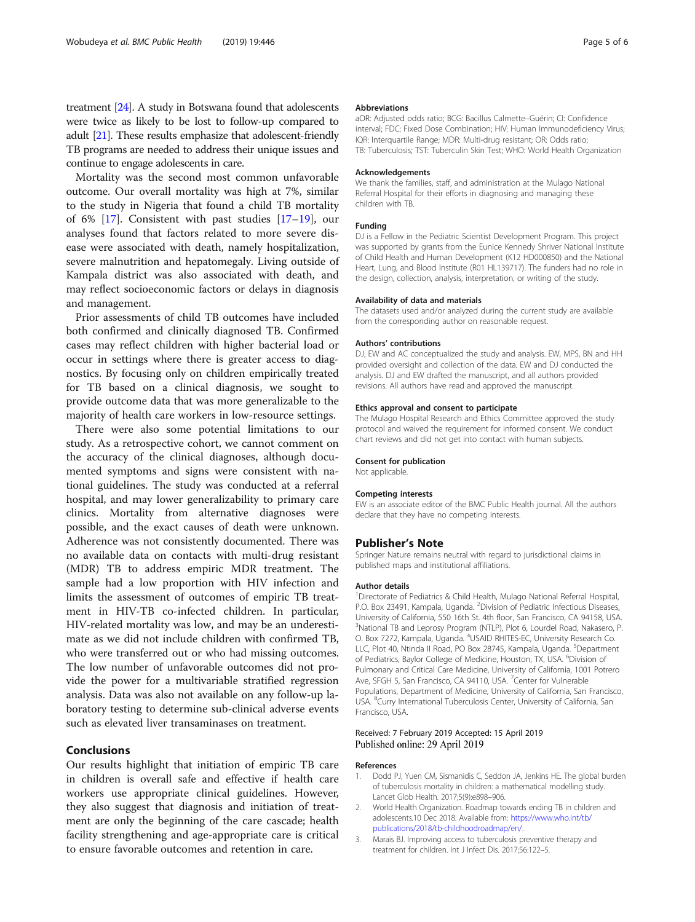<span id="page-4-0"></span>Mortality was the second most common unfavorable outcome. Our overall mortality was high at 7%, similar to the study in Nigeria that found a child TB mortality of 6% [[17\]](#page-5-0). Consistent with past studies [\[17](#page-5-0)–[19\]](#page-5-0), our analyses found that factors related to more severe disease were associated with death, namely hospitalization, severe malnutrition and hepatomegaly. Living outside of Kampala district was also associated with death, and may reflect socioeconomic factors or delays in diagnosis and management.

Prior assessments of child TB outcomes have included both confirmed and clinically diagnosed TB. Confirmed cases may reflect children with higher bacterial load or occur in settings where there is greater access to diagnostics. By focusing only on children empirically treated for TB based on a clinical diagnosis, we sought to provide outcome data that was more generalizable to the majority of health care workers in low-resource settings.

There were also some potential limitations to our study. As a retrospective cohort, we cannot comment on the accuracy of the clinical diagnoses, although documented symptoms and signs were consistent with national guidelines. The study was conducted at a referral hospital, and may lower generalizability to primary care clinics. Mortality from alternative diagnoses were possible, and the exact causes of death were unknown. Adherence was not consistently documented. There was no available data on contacts with multi-drug resistant (MDR) TB to address empiric MDR treatment. The sample had a low proportion with HIV infection and limits the assessment of outcomes of empiric TB treatment in HIV-TB co-infected children. In particular, HIV-related mortality was low, and may be an underestimate as we did not include children with confirmed TB, who were transferred out or who had missing outcomes. The low number of unfavorable outcomes did not provide the power for a multivariable stratified regression analysis. Data was also not available on any follow-up laboratory testing to determine sub-clinical adverse events such as elevated liver transaminases on treatment.

## Conclusions

Our results highlight that initiation of empiric TB care in children is overall safe and effective if health care workers use appropriate clinical guidelines. However, they also suggest that diagnosis and initiation of treatment are only the beginning of the care cascade; health facility strengthening and age-appropriate care is critical to ensure favorable outcomes and retention in care.

#### Abbreviations

aOR: Adjusted odds ratio; BCG: Bacillus Calmette–Guérin; CI: Confidence interval; FDC: Fixed Dose Combination; HIV: Human Immunodeficiency Virus; IQR: Interquartile Range; MDR: Multi-drug resistant; OR: Odds ratio; TB: Tuberculosis; TST: Tuberculin Skin Test; WHO: World Health Organization

#### Acknowledgements

We thank the families, staff, and administration at the Mulago National Referral Hospital for their efforts in diagnosing and managing these children with TB.

#### Funding

DJ is a Fellow in the Pediatric Scientist Development Program. This project was supported by grants from the Eunice Kennedy Shriver National Institute of Child Health and Human Development (K12 HD000850) and the National Heart, Lung, and Blood Institute (R01 HL139717). The funders had no role in the design, collection, analysis, interpretation, or writing of the study.

#### Availability of data and materials

The datasets used and/or analyzed during the current study are available from the corresponding author on reasonable request.

#### Authors' contributions

DJ, EW and AC conceptualized the study and analysis. EW, MPS, BN and HH provided oversight and collection of the data. EW and DJ conducted the analysis. DJ and EW drafted the manuscript, and all authors provided revisions. All authors have read and approved the manuscript.

#### Ethics approval and consent to participate

The Mulago Hospital Research and Ethics Committee approved the study protocol and waived the requirement for informed consent. We conduct chart reviews and did not get into contact with human subjects.

#### Consent for publication

Not applicable.

#### Competing interests

EW is an associate editor of the BMC Public Health journal. All the authors declare that they have no competing interests.

#### Publisher's Note

Springer Nature remains neutral with regard to jurisdictional claims in published maps and institutional affiliations.

#### Author details

<sup>1</sup> Directorate of Pediatrics & Child Health, Mulago National Referral Hospital P.O. Box 23491, Kampala, Uganda. <sup>2</sup> Division of Pediatric Infectious Diseases, University of California, 550 16th St. 4th floor, San Francisco, CA 94158, USA. <sup>3</sup>National TB and Leprosy Program (NTLP), Plot 6, Lourdel Road, Nakasero, P. O. Box 7272, Kampala, Uganda. <sup>4</sup>USAID RHITES-EC, University Research Co. LLC, Plot 40, Ntinda II Road, PO Box 28745, Kampala, Uganda. <sup>5</sup>Department of Pediatrics, Baylor College of Medicine, Houston, TX, USA. <sup>6</sup>Division of Pulmonary and Critical Care Medicine, University of California, 1001 Potrero Ave, SFGH 5, San Francisco, CA 94110, USA. <sup>7</sup>Center for Vulnerable Populations, Department of Medicine, University of California, San Francisco, USA. <sup>8</sup>Curry International Tuberculosis Center, University of California, San Francisco, USA.

#### Received: 7 February 2019 Accepted: 15 April 2019 Published online: 29 April 2019

#### References

- 1. Dodd PJ, Yuen CM, Sismanidis C, Seddon JA, Jenkins HE. The global burden of tuberculosis mortality in children: a mathematical modelling study. Lancet Glob Health. 2017;5(9):e898–906.
- 2. World Health Organization. Roadmap towards ending TB in children and adolescents.10 Dec 2018. Available from: [https://www.who.int/tb/](https://www.who.int/tb/publications/2018/tb-childhoodroadmap/en/) [publications/2018/tb-childhoodroadmap/en/.](https://www.who.int/tb/publications/2018/tb-childhoodroadmap/en/)
- 3. Marais BJ. Improving access to tuberculosis preventive therapy and treatment for children. Int J Infect Dis. 2017;56:122–5.